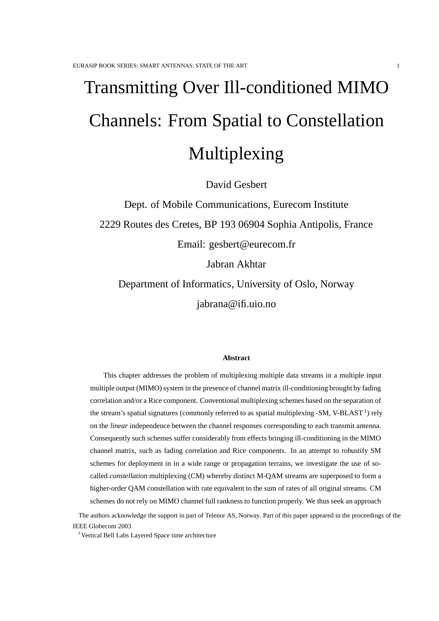# Transmitting Over Ill-conditioned MIMO Channels: From Spatial to Constellation Multiplexing

David Gesbert

Dept. of Mobile Communications, Eurecom Institute 2229 Routes des Cretes, BP 193 06904 Sophia Antipolis, France Email: gesbert@eurecom.fr Jabran Akhtar Department of Informatics, University of Oslo, Norway

jabrana@ifi.uio.no

#### **Abstract**

This chapter addresses the problem of multiplexing multiple data streams in a multiple input multiple output (MIMO) system in the presence of channel matrix ill-conditioning brought by fading correlation and/or a Rice component. Conventional multiplexing schemes based on the separation of the stream's spatial signatures (commonly referred to as spatial multiplexing -SM, V-BLAST<sup>1</sup>) rely on the *linear* independence between the channel responses corresponding to each transmit antenna. Consequently such schemes suffer considerably from effects bringing ill-conditioning in the MIMO channel matrix, such as fading correlation and Rice components. In an attempt to robustify SM schemes for deployment in in a wide range or propagation terrains, we investigate the use of socalled *constellation* multiplexing (CM) whereby distinct M-QAM streams are superposed to form a higher-order QAM constellation with rate equivalent to the sum of rates of all original streams. CM schemes do not rely on MIMO channel full rankness to function properly. We thus seek an approach

The authors acknowledge the support in part of Telenor AS, Norway. Part of this paper appeared in the proceedings of the IEEE Globecom 2003

Vertical Bell Labs Layered Space time architecture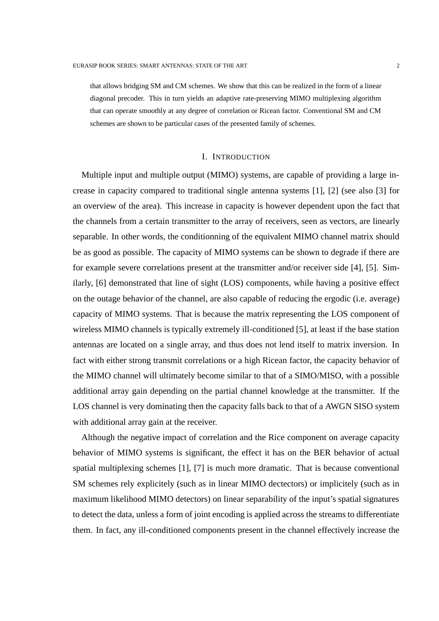that allows bridging SM and CM schemes. We show that this can be realized in the form of a linear diagonal precoder. This in turn yields an adaptive rate-preserving MIMO multiplexing algorithm that can operate smoothly at any degree of correlation or Ricean factor. Conventional SM and CM schemes are shown to be particular cases of the presented family of schemes.

## I. INTRODUCTION

Multiple input and multiple output (MIMO) systems, are capable of providing a large increase in capacity compared to traditional single antenna systems [1], [2] (see also [3] for an overview of the area). This increase in capacity is however dependent upon the fact that the channels from a certain transmitter to the array of receivers, seen as vectors, are linearly separable. In other words, the conditionning of the equivalent MIMO channel matrix should be as good as possible. The capacity of MIMO systems can be shown to degrade if there are for example severe correlations present at the transmitter and/or receiver side [4], [5]. Similarly, [6] demonstrated that line of sight (LOS) components, while having a positive effect on the outage behavior of the channel, are also capable of reducing the ergodic (i.e. average) capacity of MIMO systems. That is because the matrix representing the LOS component of wireless MIMO channels is typically extremely ill-conditioned [5], at least if the base station antennas are located on a single array, and thus does not lend itself to matrix inversion. In fact with either strong transmit correlations or a high Ricean factor, the capacity behavior of the MIMO channel will ultimately become similar to that of a SIMO/MISO, with a possible additional array gain depending on the partial channel knowledge at the transmitter. If the LOS channel is very dominating then the capacity falls back to that of a AWGN SISO system with additional array gain at the receiver.

Although the negative impact of correlation and the Rice component on average capacity behavior of MIMO systems is significant, the effect it has on the BER behavior of actual spatial multiplexing schemes [1], [7] is much more dramatic. That is because conventional SM schemes rely explicitely (such as in linear MIMO dectectors) or implicitely (such as in maximum likelihood MIMO detectors) on linear separability of the input's spatial signatures to detect the data, unless a form of joint encoding is applied across the streams to differentiate them. In fact, any ill-conditioned components present in the channel effectively increase the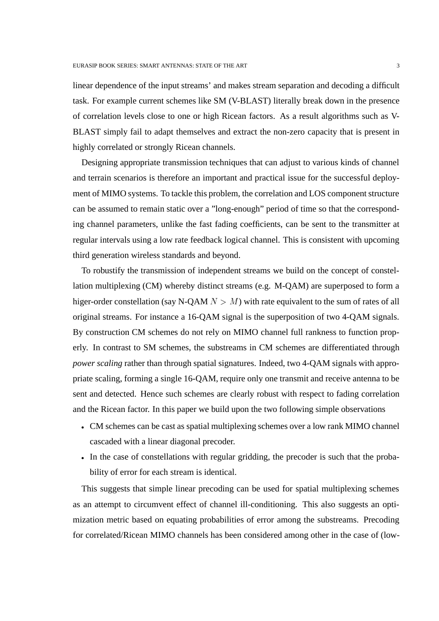linear dependence of the input streams' and makes stream separation and decoding a difficult task. For example current schemes like SM (V-BLAST) literally break down in the presence of correlation levels close to one or high Ricean factors. As a result algorithms such as V-BLAST simply fail to adapt themselves and extract the non-zero capacity that is present in highly correlated or strongly Ricean channels.

Designing appropriate transmission techniques that can adjust to various kinds of channel and terrain scenarios is therefore an important and practical issue for the successful deployment of MIMO systems. To tackle this problem, the correlation and LOS component structure can be assumed to remain static over a "long-enough" period of time so that the corresponding channel parameters, unlike the fast fading coefficients, can be sent to the transmitter at regular intervals using a low rate feedback logical channel. This is consistent with upcoming third generation wireless standards and beyond.

To robustify the transmission of independent streams we build on the concept of constellation multiplexing (CM) whereby distinct streams (e.g. M-QAM) are superposed to form a higer-order constellation (say N-QAM  $N > M$ ) with rate equivalent to the sum of rates of all original streams. For instance a 16-QAM signal is the superposition of two 4-QAM signals. By construction CM schemes do not rely on MIMO channel full rankness to function properly. In contrast to SM schemes, the substreams in CM schemes are differentiated through *power scaling* rather than through spatial signatures. Indeed, two 4-QAM signals with appropriate scaling, forming a single 16-QAM, require only one transmit and receive antenna to be sent and detected. Hence such schemes are clearly robust with respect to fading correlation and the Ricean factor. In this paper we build upon the two following simple observations

- CM schemes can be cast as spatial multiplexing schemes over a low rank MIMO channel cascaded with a linear diagonal precoder.
- In the case of constellations with regular gridding, the precoder is such that the probability of error for each stream is identical.

This suggests that simple linear precoding can be used for spatial multiplexing schemes as an attempt to circumvent effect of channel ill-conditioning. This also suggests an optimization metric based on equating probabilities of error among the substreams. Precoding for correlated/Ricean MIMO channels has been considered among other in the case of (low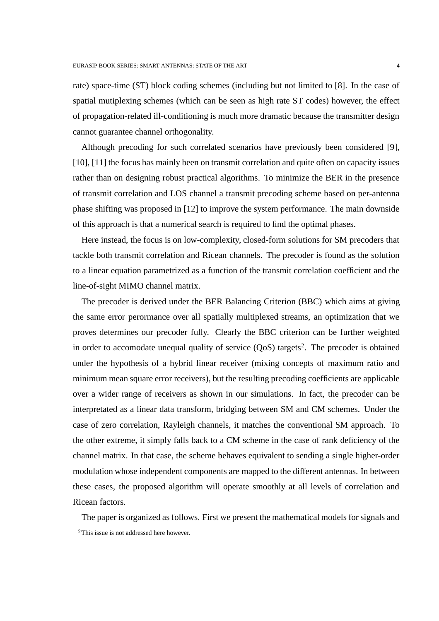rate) space-time (ST) block coding schemes (including but not limited to [8]. In the case of spatial mutiplexing schemes (which can be seen as high rate ST codes) however, the effect of propagation-related ill-conditioning is much more dramatic because the transmitter design cannot guarantee channel orthogonality.

Although precoding for such correlated scenarios have previously been considered [9], [10], [11] the focus has mainly been on transmit correlation and quite often on capacity issues rather than on designing robust practical algorithms. To minimize the BER in the presence of transmit correlation and LOS channel a transmit precoding scheme based on per-antenna phase shifting was proposed in [12] to improve the system performance. The main downside of this approach is that a numerical search is required to find the optimal phases.

Here instead, the focus is on low-complexity, closed-form solutions for SM precoders that tackle both transmit correlation and Ricean channels. The precoder is found as the solution to a linear equation parametrized as a function of the transmit correlation coefficient and the line-of-sight MIMO channel matrix.

The precoder is derived under the BER Balancing Criterion (BBC) which aims at giving the same error perormance over all spatially multiplexed streams, an optimization that we proves determines our precoder fully. Clearly the BBC criterion can be further weighted in order to accomodate unequal quality of service  $(QoS)$  targets<sup>2</sup>. The precoder is obtained under the hypothesis of a hybrid linear receiver (mixing concepts of maximum ratio and minimum mean square error receivers), but the resulting precoding coefficients are applicable over a wider range of receivers as shown in our simulations. In fact, the precoder can be interpretated as a linear data transform, bridging between SM and CM schemes. Under the case of zero correlation, Rayleigh channels, it matches the conventional SM approach. To the other extreme, it simply falls back to a CM scheme in the case of rank deficiency of the channel matrix. In that case, the scheme behaves equivalent to sending a single higher-order modulation whose independent components are mapped to the different antennas. In between these cases, the proposed algorithm will operate smoothly at all levels of correlation and Ricean factors.

The paper is organized as follows. First we present the mathematical models for signals and <sup>2</sup>This issue is not addressed here however.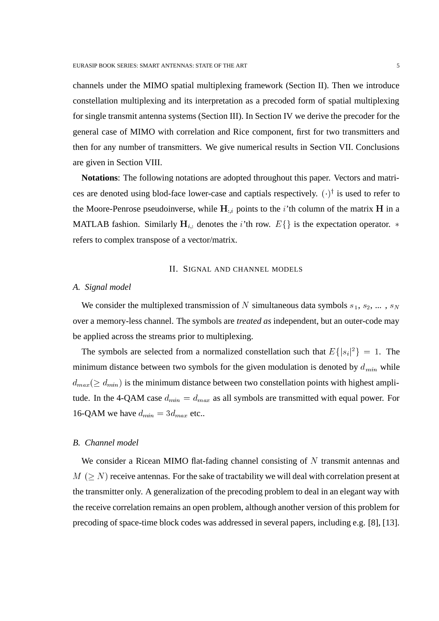channels under the MIMO spatial multiplexing framework (Section II). Then we introduce constellation multiplexing and its interpretation as a precoded form of spatial multiplexing for single transmit antenna systems (Section III). In Section IV we derive the precoder for the general case of MIMO with correlation and Rice component, first for two transmitters and then for any number of transmitters. We give numerical results in Section VII. Conclusions are given in Section VIII.

**Notations**: The following notations are adopted throughout this paper. Vectors and matrices are denoted using blod-face lower-case and captials respectively.  $(\cdot)^\dagger$  is used to refer to the Moore-Penrose pseudoinverse, while  $H_{ij}$  points to the *i*'th column of the matrix  $H$  in a MATLAB fashion. Similarly  $H_{i,:}$  denotes the *i*'th row.  $E\{\}\$ is the expectation operator. \* refers to complex transpose of a vector/matrix.

#### II. SIGNAL AND CHANNEL MODELS

## *A. Signal model*

We consider the multiplexed transmission of N simultaneous data symbols  $s_1, s_2, \dots, s_N$ over a memory-less channel. The symbols are *treated as* independent, but an outer-code may be applied across the streams prior to multiplexing.

The symbols are selected from a normalized constellation such that  $E\{|s_i|^2\} = 1$ . The minimum distance between two symbols for the given modulation is denoted by  $d_{min}$  while  $d_{max} (\ge d_{min})$  is the minimum distance between two constellation points with highest amplitude. In the 4-QAM case  $d_{min} = d_{max}$  as all symbols are transmitted with equal power. For 16-QAM we have  $d_{min} = 3d_{max}$  etc..

## *B. Channel model*

We consider a Ricean MIMO flat-fading channel consisting of  $N$  transmit antennas and  $M$  ( $\geq N$ ) receive antennas. For the sake of tractability we will deal with correlation present at the transmitter only. A generalization of the precoding problem to deal in an elegant way with the receive correlation remains an open problem, although another version of this problem for precoding of space-time block codes was addressed in several papers, including e.g. [8], [13].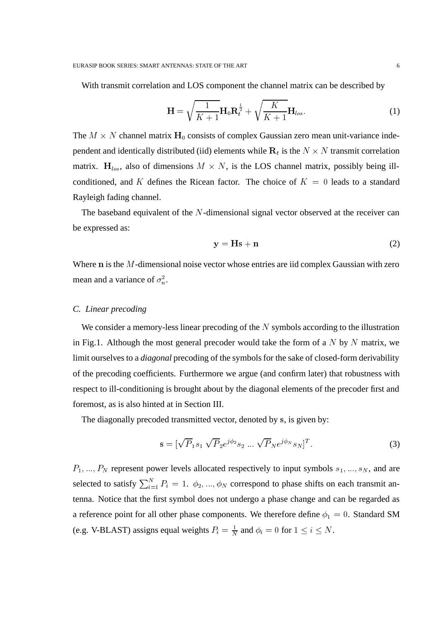With transmit correlation and LOS component the channel matrix can be described by

$$
\mathbf{H} = \sqrt{\frac{1}{K+1}} \mathbf{H}_0 \mathbf{R}_t^{\frac{1}{2}} + \sqrt{\frac{K}{K+1}} \mathbf{H}_{los}.
$$
 (1)

The  $M \times N$  channel matrix  $H_0$  consists of complex Gaussian zero mean unit-variance independent and identically distributed (iid) elements while  $\mathbf{R}_t$  is the  $N \times N$  transmit correlation matrix.  $H_{los}$ , also of dimensions  $M \times N$ , is the LOS channel matrix, possibly being illconditioned, and K defines the Ricean factor. The choice of  $K = 0$  leads to a standard Rayleigh fading channel.

The baseband equivalent of the  $N$ -dimensional signal vector observed at the receiver can be expressed as:

$$
y = Hs + n \tag{2}
$$

Where  $n$  is the  $M$ -dimensional noise vector whose entries are iid complex Gaussian with zero mean and a variance of  $\sigma_n^2$ .

#### *C. Linear precoding*

We consider a memory-less linear precoding of the  $N$  symbols according to the illustration in Fig.1. Although the most general precoder would take the form of a  $N$  by  $N$  matrix, we limit ourselves to a *diagonal* precoding of the symbols for the sake of closed-form derivability of the precoding coefficients. Furthermore we argue (and confirm later) that robustness with respect to ill-conditioning is brought about by the diagonal elements of the precoder first and foremost, as is also hinted at in Section III.

The diagonally precoded transmitted vector, denoted by s, is given by:

$$
\mathbf{s} = [\sqrt{P}_1 s_1 \sqrt{P}_2 e^{j\phi_2} s_2 \dots \sqrt{P}_N e^{j\phi_N} s_N]^T. \tag{3}
$$

 $P_1, ..., P_N$  represent power levels allocated respectively to input symbols  $s_1, ..., s_N$ , and are selected to satisfy  $\sum_{i=1}^{N} P_i = 1$ .  $\phi_2, ..., \phi_N$  correspond to phase shifts on each transmit antenna. Notice that the first symbol does not undergo a phase change and can be regarded as a reference point for all other phase components. We therefore define  $\phi_1 = 0$ . Standard SM (e.g. V-BLAST) assigns equal weights  $P_i = \frac{1}{N}$  and  $\phi_i = 0$  for  $1 \le i \le N$ .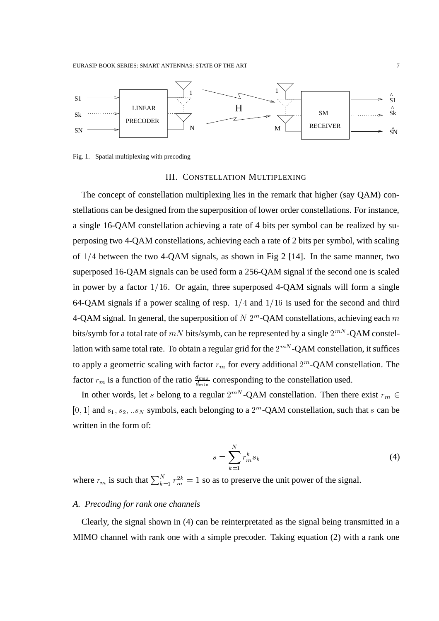

Fig. 1. Spatial multiplexing with precoding

#### III. CONSTELLATION MULTIPLEXING

The concept of constellation multiplexing lies in the remark that higher (say QAM) constellations can be designed from the superposition of lower order constellations. For instance, a single 16-QAM constellation achieving a rate of 4 bits per symbol can be realized by superposing two 4-QAM constellations, achieving each a rate of 2 bits per symbol, with scaling of  $1/4$  between the two 4-OAM signals, as shown in Fig 2 [14]. In the same manner, two superposed 16-QAM signals can be used form a 256-QAM signal if the second one is scaled in power by a factor  $1/16$ . Or again, three superposed 4-QAM signals will form a single 64-QAM signals if a power scaling of resp.  $1/4$  and  $1/16$  is used for the second and third 4-QAM signal. In general, the superposition of  $N 2^m$ -QAM constellations, achieving each  $m$ bits/symb for a total rate of  $mN$  bits/symb, can be represented by a single  $2^{mN}$ -QAM constellation with same total rate. To obtain a regular grid for the  $2^{mN}$ -QAM constellation, it suffices to apply a geometric scaling with factor  $r_m$  for every additional  $2^m$ -QAM constellation. The factor  $r_m$  is a function of the ratio  $\frac{d_{max}}{d_{min}}$  corresponding to the constellation used.

In other words, let s belong to a regular  $2^{m}$ -QAM constellation. Then there exist  $r_m \in$ [0, 1] and  $s_1, s_2, ... s_N$  symbols, each belonging to a  $2^m$ -QAM constellation, such that s can be written in the form of:

$$
s = \sum_{k=1}^{N} r_m^k s_k \tag{4}
$$

where  $r_m$  is such that  $\sum_{k=1}^{N} r_m^{2k} = 1$  so as to preserve the unit power of the signal.

## *A. Precoding for rank one channels*

Clearly, the signal shown in (4) can be reinterpretated as the signal being transmitted in a MIMO channel with rank one with a simple precoder. Taking equation (2) with a rank one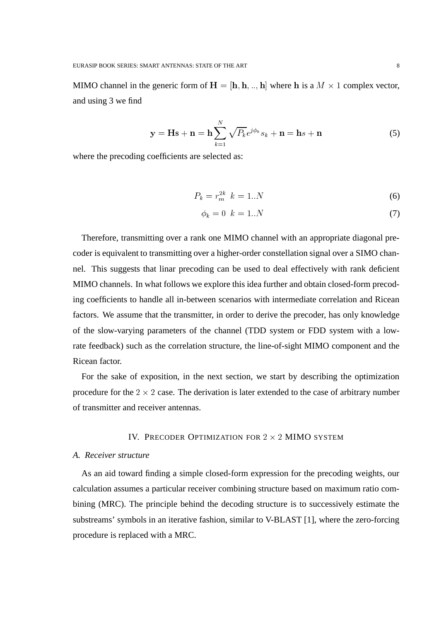MIMO channel in the generic form of  $H = [h, h, \ldots, h]$  where h is a  $M \times 1$  complex vector, and using 3 we find

$$
\mathbf{y} = \mathbf{H}\mathbf{s} + \mathbf{n} = \mathbf{h} \sum_{k=1}^{N} \sqrt{P_k} e^{j\phi_k} s_k + \mathbf{n} = \mathbf{h} s + \mathbf{n}
$$
 (5)

where the precoding coefficients are selected as:

$$
P_k = r_m^{2k} \ \ k = 1..N \tag{6}
$$

$$
\phi_k = 0 \quad k = 1..N \tag{7}
$$

Therefore, transmitting over a rank one MIMO channel with an appropriate diagonal precoder is equivalent to transmitting over a higher-order constellation signal over a SIMO channel. This suggests that linar precoding can be used to deal effectively with rank deficient MIMO channels. In what follows we explore this idea further and obtain closed-form precoding coefficients to handle all in-between scenarios with intermediate correlation and Ricean factors. We assume that the transmitter, in order to derive the precoder, has only knowledge of the slow-varying parameters of the channel (TDD system or FDD system with a lowrate feedback) such as the correlation structure, the line-of-sight MIMO component and the Ricean factor.

For the sake of exposition, in the next section, we start by describing the optimization procedure for the  $2 \times 2$  case. The derivation is later extended to the case of arbitrary number of transmitter and receiver antennas.

#### IV. PRECODER OPTIMIZATION FOR  $2 \times 2$  MIMO SYSTEM

#### *A. Receiver structure*

As an aid toward finding a simple closed-form expression for the precoding weights, our calculation assumes a particular receiver combining structure based on maximum ratio combining (MRC). The principle behind the decoding structure is to successively estimate the substreams' symbols in an iterative fashion, similar to V-BLAST [1], where the zero-forcing procedure is replaced with a MRC.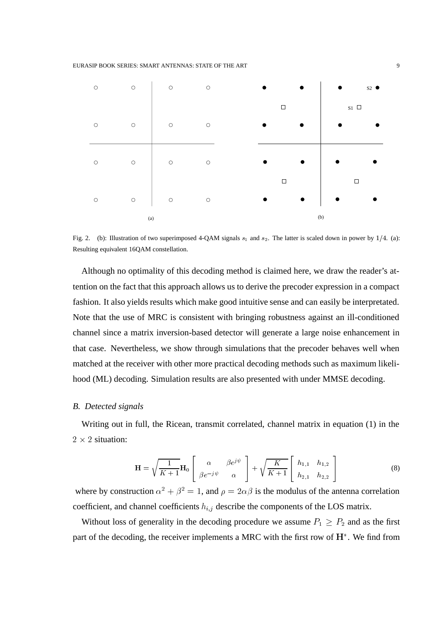

Fig. 2. (b): Illustration of two superimposed 4-QAM signals  $s_1$  and  $s_2$ . The latter is scaled down in power by 1/4. (a): Resulting equivalent 16QAM constellation.

Although no optimality of this decoding method is claimed here, we draw the reader's attention on the fact that this approach allows us to derive the precoder expression in a compact fashion. It also yields results which make good intuitive sense and can easily be interpretated. Note that the use of MRC is consistent with bringing robustness against an ill-conditioned channel since a matrix inversion-based detector will generate a large noise enhancement in that case. Nevertheless, we show through simulations that the precoder behaves well when matched at the receiver with other more practical decoding methods such as maximum likelihood (ML) decoding. Simulation results are also presented with under MMSE decoding.

#### *B. Detected signals*

Writing out in full, the Ricean, transmit correlated, channel matrix in equation (1) in the  $2 \times 2$  situation:

$$
\mathbf{H} = \sqrt{\frac{1}{K+1}} \mathbf{H}_0 \begin{bmatrix} \alpha & \beta e^{j\psi} \\ \beta e^{-j\psi} & \alpha \end{bmatrix} + \sqrt{\frac{K}{K+1}} \begin{bmatrix} h_{1,1} & h_{1,2} \\ h_{2,1} & h_{2,2} \end{bmatrix}
$$
(8)

where by construction  $\alpha^2 + \beta^2 = 1$ , and  $\rho = 2\alpha\beta$  is the modulus of the antenna correlation coefficient, and channel coefficients  $h_{i,j}$  describe the components of the LOS matrix.

Without loss of generality in the decoding procedure we assume  $P_1 \ge P_2$  and as the first part of the decoding, the receiver implements a MRC with the first row of  $H^*$ . We find from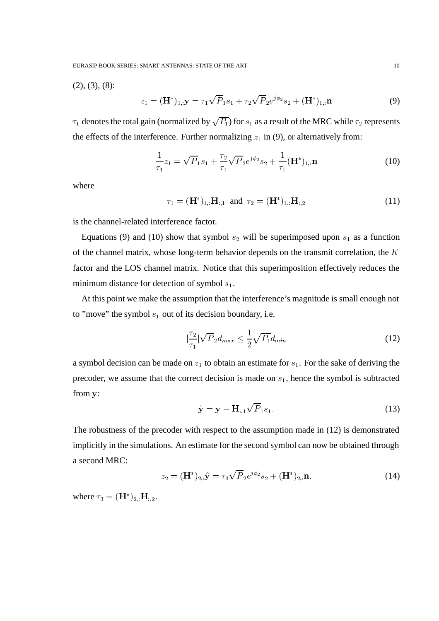EURASIP BOOK SERIES: SMART ANTENNAS: STATE OF THE ART 10

 $(2), (3), (8)$ :

$$
z_1 = (\mathbf{H}^*)_{1,:} \mathbf{y} = \tau_1 \sqrt{P_1} s_1 + \tau_2 \sqrt{P_2} e^{j\phi_2} s_2 + (\mathbf{H}^*)_{1,:} \mathbf{n}
$$
(9)

 $\tau_1$  denotes the total gain (normalized by  $\sqrt{P_1}$ ) for  $s_1$  as a result of the MRC while  $\tau_2$  represents the effects of the interference. Further normalizing  $z_1$  in (9), or alternatively from:

$$
\frac{1}{\tau_1}z_1 = \sqrt{P_1}s_1 + \frac{\tau_2}{\tau_1}\sqrt{P_2}e^{j\phi_2}s_2 + \frac{1}{\tau_1}(\mathbf{H}^*)_{1,:}\mathbf{n}
$$
\n(10)

where

$$
\tau_1 = (\mathbf{H}^*)_{1,:} \mathbf{H}_{:,1} \text{ and } \tau_2 = (\mathbf{H}^*)_{1,:} \mathbf{H}_{:,2} \tag{11}
$$

is the channel-related interference factor.

Equations (9) and (10) show that symbol  $s_2$  will be superimposed upon  $s_1$  as a function of the channel matrix, whose long-term behavior depends on the transmit correlation, the  $K$ factor and the LOS channel matrix. Notice that this superimposition effectively reduces the minimum distance for detection of symbol  $s_1$ .

At this point we make the assumption that the interference's magnitude is small enough not to "move" the symbol  $s_1$  out of its decision boundary, i.e.

$$
\left|\frac{\tau_2}{\tau_1}\right| \sqrt{P_2} d_{max} \le \frac{1}{2} \sqrt{P_1} d_{min} \tag{12}
$$

a symbol decision can be made on  $z_1$  to obtain an estimate for  $s_1$ . For the sake of deriving the precoder, we assume that the correct decision is made on  $s<sub>1</sub>$ , hence the symbol is subtracted from y:

$$
\hat{\mathbf{y}} = \mathbf{y} - \mathbf{H}_{:,1} \sqrt{P}_1 s_1.
$$
\n(13)

The robustness of the precoder with respect to the assumption made in (12) is demonstrated implicitly in the simulations. An estimate for the second symbol can now be obtained through a second MRC:

$$
z_2 = (\mathbf{H}^*)_{2,:} \hat{\mathbf{y}} = \tau_3 \sqrt{P}_2 e^{j\phi_2} s_2 + (\mathbf{H}^*)_{2,:} \mathbf{n},\tag{14}
$$

where  $\tau_3 = (\mathbf{H}^*)_{2,:} \mathbf{H}_{:,2}$ .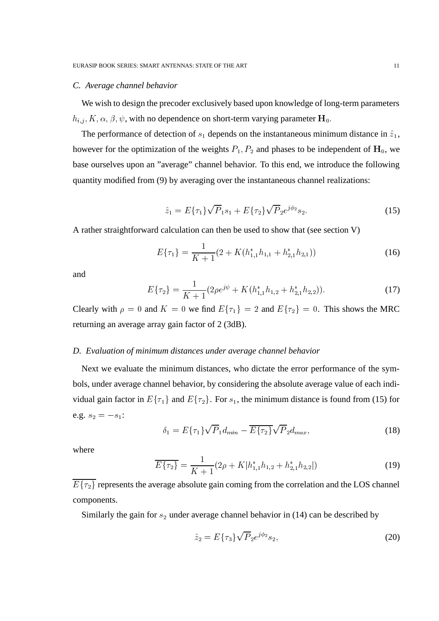## *C. Average channel behavior*

We wish to design the precoder exclusively based upon knowledge of long-term parameters  $h_{i,j}$ ,  $K, \alpha, \beta, \psi$ , with no dependence on short-term varying parameter  $H_0$ .

The performance of detection of  $s_1$  depends on the instantaneous minimum distance in  $\hat{z}_1$ , however for the optimization of the weights  $P_1, P_2$  and phases to be independent of  $H_0$ , we base ourselves upon an "average" channel behavior. To this end, we introduce the following quantity modified from (9) by averaging over the instantaneous channel realizations:

$$
\hat{z}_1 = E\{\tau_1\}\sqrt{P}_1s_1 + E\{\tau_2\}\sqrt{P}_2e^{j\phi_2}s_2.
$$
 (15)

A rather straightforward calculation can then be used to show that (see section V)

$$
E\{\tau_1\} = \frac{1}{K+1}(2 + K(h_{1,1}^*h_{1,1} + h_{2,1}^*h_{2,1}))
$$
\n(16)

and

$$
E\{\tau_2\} = \frac{1}{K+1} (2\rho e^{j\psi} + K(h_{1,1}^* h_{1,2} + h_{2,1}^* h_{2,2})).
$$
 (17)

Clearly with  $\rho = 0$  and  $K = 0$  we find  $E\{\tau_1\} = 2$  and  $E\{\tau_2\} = 0$ . This shows the MRC returning an average array gain factor of 2 (3dB).

#### *D. Evaluation of minimum distances under average channel behavior*

Next we evaluate the minimum distances, who dictate the error performance of the symbols, under average channel behavior, by considering the absolute average value of each individual gain factor in  $E\{\tau_1\}$  and  $E\{\tau_2\}$ . For  $s_1$ , the minimum distance is found from (15) for e.g.  $s_2 = -s_1$ :

$$
\delta_1 = E\{\tau_1\} \sqrt{P}_1 d_{min} - \overline{E\{\tau_2\}} \sqrt{P}_2 d_{max},
$$
\n(18)

where

$$
\overline{E\{\tau_2\}} = \frac{1}{K+1} (2\rho + K|h_{1,1}^* h_{1,2} + h_{2,1}^* h_{2,2}|)
$$
\n(19)

 $E\{\tau_2\}$  represents the average absolute gain coming from the correlation and the LOS channel components.

Similarly the gain for  $s_2$  under average channel behavior in (14) can be described by

$$
\hat{z}_2 = E\{\tau_3\} \sqrt{P}_2 e^{j\phi_2} s_2,\tag{20}
$$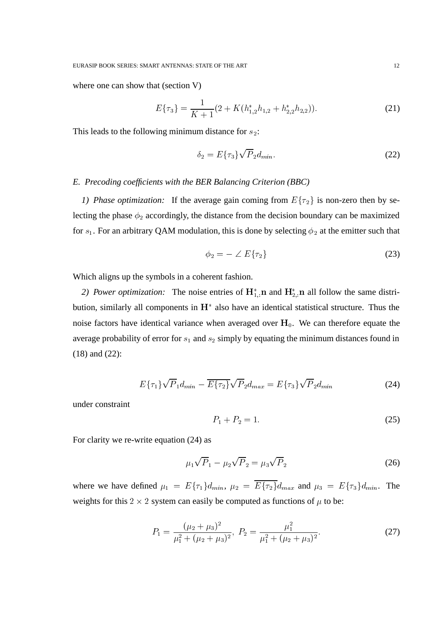where one can show that (section V)

$$
E\{\tau_3\} = \frac{1}{K+1}(2 + K(h_{1,2}^*h_{1,2} + h_{2,2}^*h_{2,2})).
$$
\n(21)

This leads to the following minimum distance for  $s_2$ :

$$
\delta_2 = E\{\tau_3\}\sqrt{P}_2 d_{min}.\tag{22}
$$

### *E. Precoding coefficients with the BER Balancing Criterion (BBC)*

*1) Phase optimization:* If the average gain coming from  $E\{\tau_2\}$  is non-zero then by selecting the phase  $\phi_2$  accordingly, the distance from the decision boundary can be maximized for  $s_1$ . For an arbitrary QAM modulation, this is done by selecting  $\phi_2$  at the emitter such that

$$
\phi_2 = - \angle E\{\tau_2\} \tag{23}
$$

Which aligns up the symbols in a coherent fashion.

2) Power optimization: The noise entries of  $H_1^*$  n and  $H_2^*$  n all follow the same distribution, similarly all components in  $H^*$  also have an identical statistical structure. Thus the noise factors have identical variance when averaged over  $H_0$ . We can therefore equate the average probability of error for  $s_1$  and  $s_2$  simply by equating the minimum distances found in (18) and (22):

$$
E\{\tau_1\}\sqrt{P_1}d_{min} - \overline{E\{\tau_2\}}\sqrt{P_2}d_{max} = E\{\tau_3\}\sqrt{P_2}d_{min}
$$
 (24)

under constraint

$$
P_1 + P_2 = 1. \t\t(25)
$$

For clarity we re-write equation (24) as

$$
\mu_1 \sqrt{P}_1 - \mu_2 \sqrt{P}_2 = \mu_3 \sqrt{P}_2 \tag{26}
$$

where we have defined  $\mu_1 = E\{\tau_1\}d_{min}, \mu_2 = E\{\tau_2\}d_{max}$  and  $\mu_3 = E\{\tau_3\}d_{min}$ . The weights for this 2  $\times$  2 system can easily be computed as functions of  $\mu$  to be:

$$
P_1 = \frac{(\mu_2 + \mu_3)^2}{\mu_1^2 + (\mu_2 + \mu_3)^2}, \ P_2 = \frac{\mu_1^2}{\mu_1^2 + (\mu_2 + \mu_3)^2}.
$$
 (27)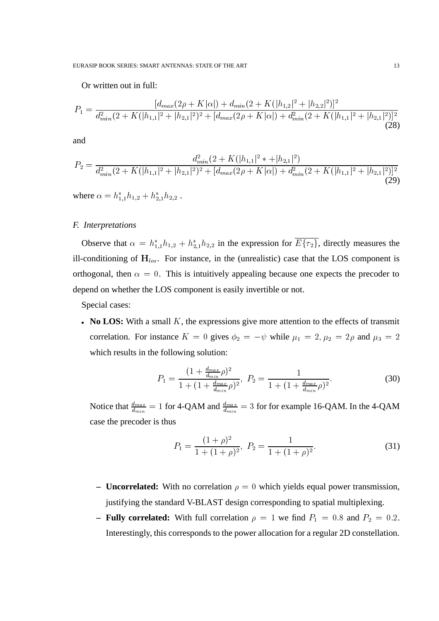EURASIP BOOK SERIES: SMART ANTENNAS: STATE OF THE ART 13

Or written out in full:

$$
P_1 = \frac{[d_{max}(2\rho + K|\alpha|) + d_{min}(2 + K(|h_{1,2}|^2 + |h_{2,2}|^2))^2}{d_{min}^2(2 + K(|h_{1,1}|^2 + |h_{2,1}|^2)^2 + [d_{max}(2\rho + K|\alpha|) + d_{min}^2(2 + K(|h_{1,1}|^2 + |h_{2,1}|^2))^2}
$$
(28)

and

$$
P_2 = \frac{d_{min}^2 (2 + K(|h_{1,1}|^2 * + |h_{2,1}|^2))}{d_{min}^2 (2 + K(|h_{1,1}|^2 + |h_{2,1}|^2)^2 + [d_{max}(2\rho + K|\alpha]) + d_{min}^2 (2 + K(|h_{1,1}|^2 + |h_{2,1}|^2))^2}
$$
(29)

where  $\alpha = h_{1,1}^* h_{1,2} + h_{2,1}^* h_{2,2}$ . .

## *F. Interpretations*

Observe that  $\alpha = h_{1,1}^* h_{1,2} + h_{2,1}^* h_{2,2}$  in the expression for  $E{\tau_2}$ , directly measures the ill-conditioning of  $H_{los}$ . For instance, in the (unrealistic) case that the LOS component is orthogonal, then  $\alpha = 0$ . This is intuitively appealing because one expects the precoder to depend on whether the LOS component is easily invertible or not.

Special cases:

• No LOS: With a small  $K$ , the expressions give more attention to the effects of transmit correlation. For instance  $K = 0$  gives  $\phi_2 = -\psi$  while  $\mu_1 = 2, \mu_2 = 2\rho$  and  $\mu_3 = 2$ which results in the following solution:

$$
P_1 = \frac{(1 + \frac{d_{max}}{d_{min}}\rho)^2}{1 + (1 + \frac{d_{max}}{d_{min}}\rho)^2}, \ P_2 = \frac{1}{1 + (1 + \frac{d_{max}}{d_{min}}\rho)^2}.
$$
 (30)

Notice that  $\frac{d_{max}}{d_{min}} = 1$  for 4-QAM and  $\frac{d_{max}}{d_{min}} = 3$  for for example 16-QAM. In the 4-QAM case the precoder is thus

$$
P_1 = \frac{(1+\rho)^2}{1+(1+\rho)^2}, \ P_2 = \frac{1}{1+(1+\rho)^2}.
$$
 (31)

- **Uncorrelated:** With no correlation  $\rho = 0$  which yields equal power transmission, justifying the standard V-BLAST design corresponding to spatial multiplexing.
- **Fully correlated:** With full correlation  $\rho = 1$  we find  $P_1 = 0.8$  and  $P_2 = 0.2$ . Interestingly, this corresponds to the power allocation for a regular 2D constellation.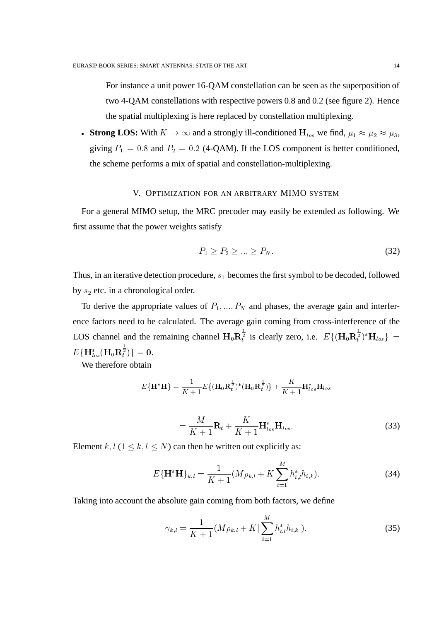For instance a unit power 16-QAM constellation can be seen as the superposition of two 4-QAM constellations with respective powers 0.8 and 0.2 (see figure 2). Hence the spatial multiplexing is here replaced by constellation multiplexing.

• Strong LOS: With  $K \to \infty$  and a strongly ill-conditioned  $H_{los}$  we find,  $\mu_1 \approx \mu_2 \approx \mu_3$ , giving  $P_1 = 0.8$  and  $P_2 = 0.2$  (4-QAM). If the LOS component is better conditioned, the scheme performs a mix of spatial and constellation-multiplexing.

#### V. OPTIMIZATION FOR AN ARBITRARY MIMO SYSTEM

For a general MIMO setup, the MRC precoder may easily be extended as following. We first assume that the power weights satisfy

$$
P_1 \ge P_2 \ge \dots \ge P_N. \tag{32}
$$

Thus, in an iterative detection procedure,  $s_1$  becomes the first symbol to be decoded, followed by  $s_2$  etc. in a chronological order.

To derive the appropriate values of  $P_1, ..., P_N$  and phases, the average gain and interference factors need to be calculated. The average gain coming from cross-interference of the LOS channel and the remaining channel  $H_0R_t^{\frac{1}{2}}$  is clearly zero, i.e.  $E\{(\mathbf{H}_0R_t^{\frac{1}{2}})^* \mathbf{H}_{los}\}$  =  $E\{\mathbf{\Pi}_{los}(\mathbf{\Pi}_0\mathbf{R}_t^{\mathrm{T}})\}\equiv 0.$  $\{ \frac{\bar{2}}{t} ) \} = \mathbf{0}.$ 

We therefore obtain

$$
E{\bf{H}^{*}H} = \frac{1}{K+1}E{\bf{H}_0R}_t^{\frac{1}{2}}({\bf{H}_0R}_t^{\frac{1}{2}})+\frac{K}{K+1}{\bf{H}}_{los}^*{\bf{H}}_{los}
$$

$$
=\frac{M}{K+1}\mathbf{R}_t+\frac{K}{K+1}\mathbf{H}_{los}^*\mathbf{H}_{los}.
$$
 (33)

Element k,  $l$  ( $1 \leq k, l \leq N$ ) can then be written out explicitly as:

$$
E\{\mathbf{H}^*\mathbf{H}\}_{k,l} = \frac{1}{K+1} (M\rho_{k,l} + K \sum_{i=1}^M h_{i,l}^* h_{i,k}).
$$
\n(34)

Taking into account the absolute gain coming from both factors, we define

$$
\gamma_{k,l} = \frac{1}{K+1} (M \rho_{k,l} + K \vert \sum_{i=1}^{M} h_{i,l}^* h_{i,k} \vert ). \tag{35}
$$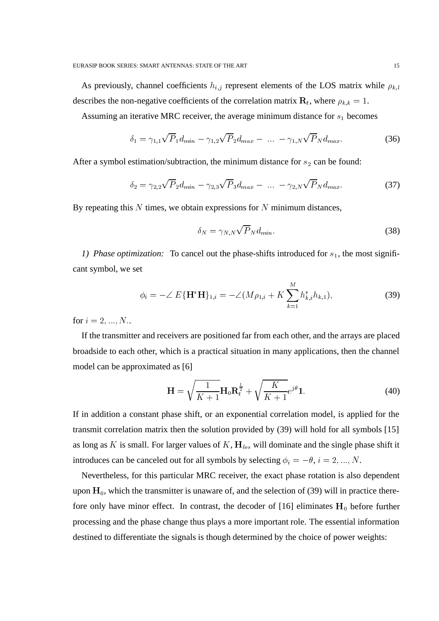As previously, channel coefficients  $h_{i,j}$  represent elements of the LOS matrix while  $\rho_{k,l}$ describes the non-negative coefficients of the correlation matrix  $\mathbf{R}_t$ , where  $\rho_{k,k} = 1$ .

Assuming an iterative MRC receiver, the average minimum distance for  $s_1$  becomes

$$
\delta_1 = \gamma_{1,1} \sqrt{P}_1 d_{min} - \gamma_{1,2} \sqrt{P}_2 d_{max} - \dots - \gamma_{1,N} \sqrt{P}_N d_{max}.
$$
 (36)

After a symbol estimation/subtraction, the minimum distance for  $s_2$  can be found:

$$
\delta_2 = \gamma_{2,2} \sqrt{P}_2 d_{min} - \gamma_{2,3} \sqrt{P}_3 d_{max} - \dots - \gamma_{2,N} \sqrt{P}_N d_{max}.
$$
 (37)

By repeating this  $N$  times, we obtain expressions for  $N$  minimum distances,

$$
\delta_N = \gamma_{N,N} \sqrt{P}_N d_{min}.\tag{38}
$$

*1) Phase optimization:* To cancel out the phase-shifts introduced for  $s<sub>1</sub>$ , the most significant symbol, we set

$$
\phi_i = -\angle E\{\mathbf{H}^* \mathbf{H}\}_{1,i} = -\angle (M\rho_{1,i} + K \sum_{k=1}^M h_{k,i}^* h_{k,1}),
$$
\n(39)

for  $i = 2, ..., N$ ..

If the transmitter and receivers are positioned far from each other, and the arrays are placed broadside to each other, which is a practical situation in many applications, then the channel model can be approximated as [6]

$$
\mathbf{H} = \sqrt{\frac{1}{K+1}} \mathbf{H}_0 \mathbf{R}_t^{\frac{1}{2}} + \sqrt{\frac{K}{K+1}} e^{j\theta} \mathbf{1}.
$$
 (40)

If in addition a constant phase shift, or an exponential correlation model, is applied for the transmit correlation matrix then the solution provided by (39) will hold for all symbols [15] as long as K is small. For larger values of K,  $H_{los}$  will dominate and the single phase shift it introduces can be canceled out for all symbols by selecting  $\phi_i = -\theta$ ,  $i = 2, ..., N$ .

Nevertheless, for this particular MRC receiver, the exact phase rotation is also dependent upon  $H_0$ , which the transmitter is unaware of, and the selection of (39) will in practice therefore only have minor effect. In contrast, the decoder of [16] eliminates  $H_0$  before further processing and the phase change thus plays a more important role. The essential information destined to differentiate the signals is though determined by the choice of power weights: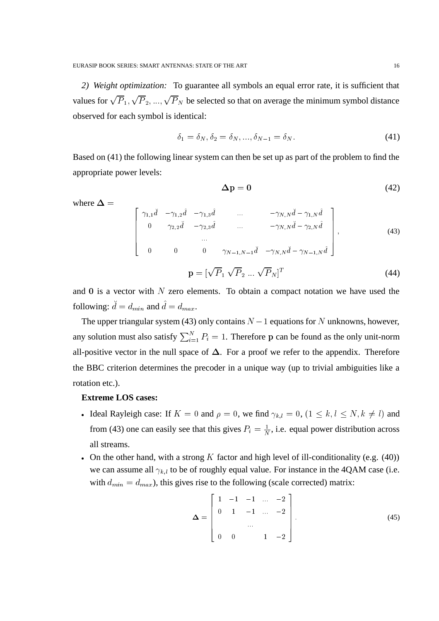*2) Weight optimization:* To guarantee all symbols an equal error rate, it is sufficient that values for  $\sqrt{P_1}, \sqrt{P_2}, ..., \sqrt{P_N}$  be selected so that on average the minimum symbol distance observed for each symbol is identical:

$$
\delta_1 = \delta_N, \delta_2 = \delta_N, ..., \delta_{N-1} = \delta_N.
$$
\n(41)

Based on (41) the following linear system can then be set up as part of the problem to find the appropriate power levels:

$$
\Delta p = 0 \tag{42}
$$

where  $\Delta =$ 

$$
\begin{bmatrix}\n\gamma_{1,1} \ddot{d} & -\gamma_{1,2} \hat{d} & -\gamma_{1,3} \hat{d} & \dots & -\gamma_{N,N} \ddot{d} - \gamma_{1,N} \hat{d} \\
0 & \gamma_{2,2} \ddot{d} & -\gamma_{2,3} \hat{d} & \dots & -\gamma_{N,N} \ddot{d} - \gamma_{2,N} \hat{d} \\
\vdots & \vdots & \ddots & \vdots \\
0 & 0 & 0 & \gamma_{N-1,N-1} \ddot{d} & -\gamma_{N,N} \ddot{d} - \gamma_{N-1,N} \hat{d}\n\end{bmatrix},
$$
\n(43)

$$
\mathbf{p} = [\sqrt{P}_1 \sqrt{P}_2 \dots \sqrt{P}_N]^T
$$
 (44)

and  $\bf{0}$  is a vector with  $N$  zero elements. To obtain a compact notation we have used the following:  $d = d_{min}$  and  $d = d_{max}$ .

The upper triangular system (43) only contains  $N-1$  equations for N unknowns, however, any solution must also satisfy  $\sum_{i=1}^{N} P_i = 1$ . Therefore p can be found as the only unit-norm all-positive vector in the null space of  $\Delta$ . For a proof we refer to the appendix. Therefore the BBC criterion determines the precoder in a unique way (up to trivial ambiguities like a rotation etc.).

## **Extreme LOS cases:**

- Ideal Rayleigh case: If  $K = 0$  and  $\rho = 0$ , we find  $\gamma_{k,l} = 0$ ,  $(1 \le k, l \le N, k \ne l)$  and from (43) one can easily see that this gives  $P_i = \frac{1}{N}$ , i.e. equal power distribution across all streams.
- On the other hand, with a strong  $K$  factor and high level of ill-conditionality (e.g. (40)) we can assume all  $\gamma_{k,l}$  to be of roughly equal value. For instance in the 4QAM case (i.e. with  $d_{min} = d_{max}$ ), this gives rise to the following (scale corrected) matrix:

$$
\mathbf{\Delta} = \begin{bmatrix} 1 & -1 & -1 & \dots & -2 \\ 0 & 1 & -1 & \dots & -2 \\ & & \dots & & \\ 0 & 0 & & 1 & -2 \end{bmatrix} . \tag{45}
$$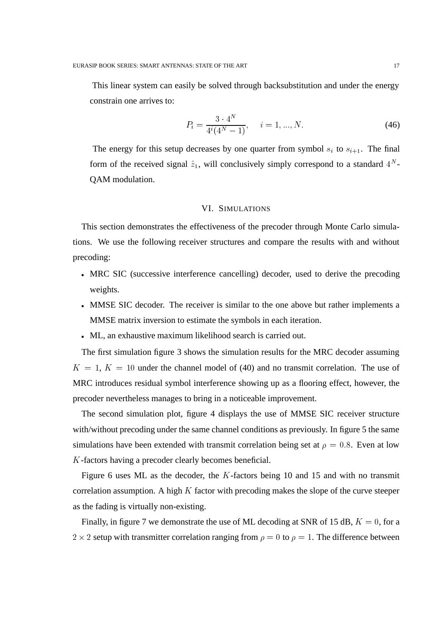This linear system can easily be solved through backsubstitution and under the energy constrain one arrives to:

$$
P_i = \frac{3 \cdot 4^N}{4^i (4^N - 1)}, \quad i = 1, ..., N. \tag{46}
$$

The energy for this setup decreases by one quarter from symbol  $s_i$  to  $s_{i+1}$ . The final form of the received signal  $\hat{z}_1$ , will conclusively simply correspond to a standard  $4^N$ -QAM modulation.

## VI. SIMULATIONS

This section demonstrates the effectiveness of the precoder through Monte Carlo simulations. We use the following receiver structures and compare the results with and without precoding:

- MRC SIC (successive interference cancelling) decoder, used to derive the precoding weights.
- MMSE SIC decoder. The receiver is similar to the one above but rather implements a MMSE matrix inversion to estimate the symbols in each iteration.
- ML, an exhaustive maximum likelihood search is carried out.

The first simulation figure 3 shows the simulation results for the MRC decoder assuming  $K = 1, K = 10$  under the channel model of (40) and no transmit correlation. The use of MRC introduces residual symbol interference showing up as a flooring effect, however, the precoder nevertheless manages to bring in a noticeable improvement.

The second simulation plot, figure 4 displays the use of MMSE SIC receiver structure with/without precoding under the same channel conditions as previously. In figure 5 the same simulations have been extended with transmit correlation being set at  $\rho = 0.8$ . Even at low -factors having a precoder clearly becomes beneficial.

Figure 6 uses ML as the decoder, the  $K$ -factors being 10 and 15 and with no transmit correlation assumption. A high  $K$  factor with precoding makes the slope of the curve steeper as the fading is virtually non-existing.

Finally, in figure 7 we demonstrate the use of ML decoding at SNR of 15 dB,  $K = 0$ , for a  $2 \times 2$  setup with transmitter correlation ranging from  $\rho = 0$  to  $\rho = 1$ . The difference between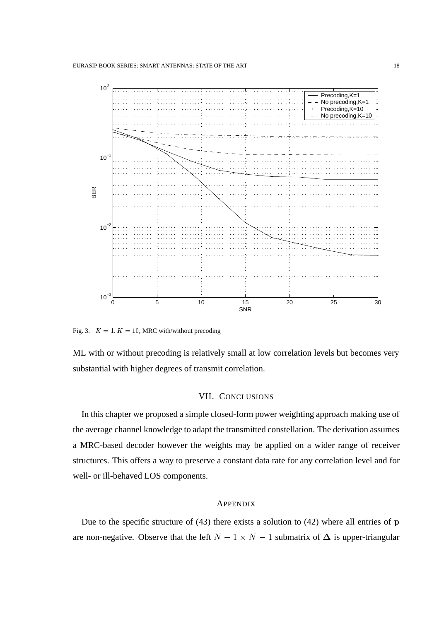

Fig. 3.  $K = 1, K = 10$ , MRC with/without precoding

ML with or without precoding is relatively small at low correlation levels but becomes very substantial with higher degrees of transmit correlation.

## VII. CONCLUSIONS

In this chapter we proposed a simple closed-form power weighting approach making use of the average channel knowledge to adapt the transmitted constellation. The derivation assumes a MRC-based decoder however the weights may be applied on a wider range of receiver structures. This offers a way to preserve a constant data rate for any correlation level and for well- or ill-behaved LOS components.

### APPENDIX

Due to the specific structure of  $(43)$  there exists a solution to  $(42)$  where all entries of p are non-negative. Observe that the left  $N-1 \times N-1$  submatrix of  $\Delta$  is upper-triangular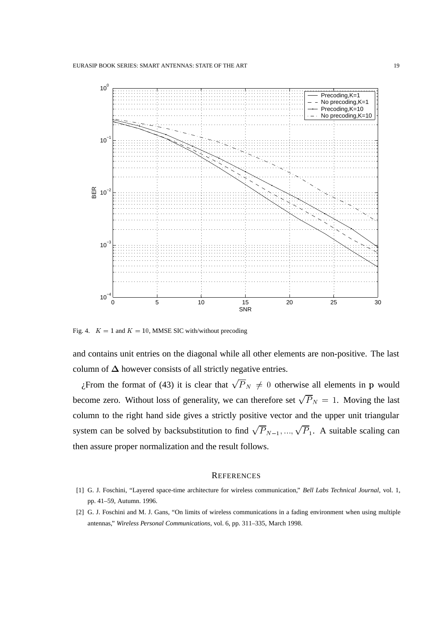

Fig. 4.  $K = 1$  and  $K = 10$ , MMSE SIC with/without precoding

and contains unit entries on the diagonal while all other elements are non-positive. The last column of  $\Delta$  however consists of all strictly negative entries.

¿From the format of (43) it is clear that  $\sqrt{P_N} \neq 0$  otherwise all elements in p would become zero. Without loss of generality, we can therefore set  $\sqrt{P}_N = 1$ . Moving the last column to the right hand side gives a strictly positive vector and the upper unit triangular system can be solved by backsubstitution to find  $\sqrt{P}_{N-1},...,\sqrt{P}_1$ . A suitable scaling can then assure proper normalization and the result follows.

#### **REFERENCES**

- [1] G. J. Foschini, "Layered space-time architecture for wireless communication," *Bell Labs Technical Journal*, vol. 1, pp. 41–59, Autumn. 1996.
- [2] G. J. Foschini and M. J. Gans, "On limits of wireless communications in a fading environment when using multiple antennas," *Wireless Personal Communications*, vol. 6, pp. 311–335, March 1998.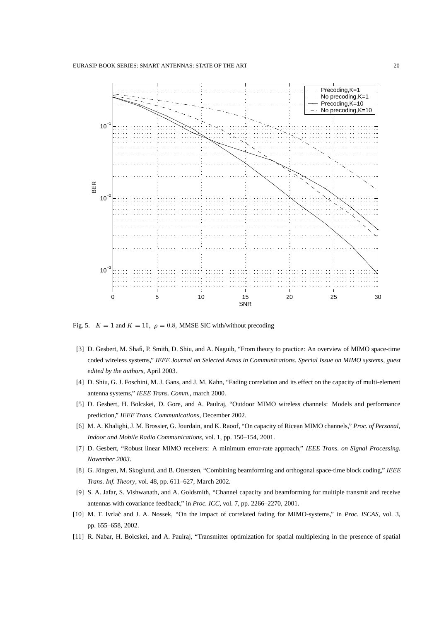

Fig. 5.  $K = 1$  and  $K = 10$ ,  $\rho = 0.8$ , MMSE SIC with/without precoding

- [3] D. Gesbert, M. Shafi, P. Smith, D. Shiu, and A. Naguib, "From theory to practice: An overview of MIMO space-time coded wireless systems," *IEEE Journal on Selected Areas in Communications. Special Issue on MIMO systems, guest edited by the authors*, April 2003.
- [4] D. Shiu, G. J. Foschini, M. J. Gans, and J. M. Kahn, "Fading correlation and its effect on the capacity of multi-element antenna systems," *IEEE Trans. Comm.*, march 2000.
- [5] D. Gesbert, H. Bolcskei, D. Gore, and A. Paulraj, "Outdoor MIMO wireless channels: Models and performance prediction," *IEEE Trans. Communications*, December 2002.
- [6] M. A. Khalighi, J. M. Brossier, G. Jourdain, and K. Raoof, "On capacity of Ricean MIMO channels," *Proc. of Personal, Indoor and Mobile Radio Communications*, vol. 1, pp. 150–154, 2001.
- [7] D. Gesbert, "Robust linear MIMO receivers: A minimum error-rate approach," *IEEE Trans. on Signal Processing. November 2003*.
- [8] G. Jöngren, M. Skoglund, and B. Ottersten, "Combining beamforming and orthogonal space-time block coding," IEEE *Trans. Inf. Theory*, vol. 48, pp. 611–627, March 2002.
- [9] S. A. Jafar, S. Vishwanath, and A. Goldsmith, "Channel capacity and beamforming for multiple transmit and receive antennas with covariance feedback," in *Proc. ICC*, vol. 7, pp. 2266–2270, 2001.
- [10] M. T. Ivrlač and J. A. Nossek, "On the impact of correlated fading for MIMO-systems," in *Proc. ISCAS*, vol. 3, pp. 655–658, 2002.
- [11] R. Nabar, H. Bolcskei, and A. Paulraj, "Transmitter optimization for spatial multiplexing in the presence of spatial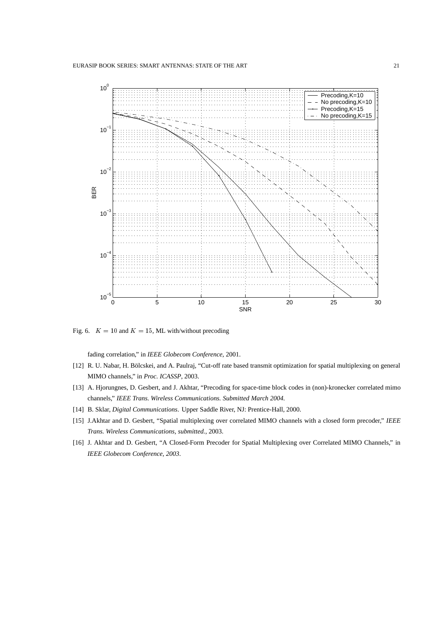

Fig. 6.  $K = 10$  and  $K = 15$ , ML with/without precoding

fading correlation," in *IEEE Globecom Conference*, 2001.

- [12] R. U. Nabar, H. Bölcskei, and A. Paulraj, "Cut-off rate based transmit optimization for spatial multiplexing on general MIMO channels," in *Proc. ICASSP*, 2003.
- [13] A. Hjorungnes, D. Gesbert, and J. Akhtar, "Precoding for space-time block codes in (non)-kronecker correlated mimo channels," *IEEE Trans. Wireless Communications. Submitted March 2004.*
- [14] B. Sklar, *Digital Communications*. Upper Saddle River, NJ: Prentice-Hall, 2000.
- [15] J.Akhtar and D. Gesbert, "Spatial multiplexing over correlated MIMO channels with a closed form precoder," *IEEE Trans. Wireless Communications, submitted.*, 2003.
- [16] J. Akhtar and D. Gesbert, "A Closed-Form Precoder for Spatial Multiplexing over Correlated MIMO Channels," in *IEEE Globecom Conference, 2003*.